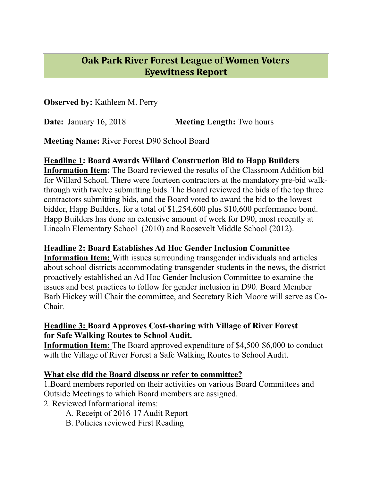# **Oak Park River Forest League of Women Voters Eyewitness Report**

**Observed by:** Kathleen M. Perry

**Date:** January 16, 2018 **Meeting Length:** Two hours

**Meeting Name:** River Forest D90 School Board

## **Headline 1: Board Awards Willard Construction Bid to Happ Builders**

**Information Item:** The Board reviewed the results of the Classroom Addition bid for Willard School. There were fourteen contractors at the mandatory pre-bid walkthrough with twelve submitting bids. The Board reviewed the bids of the top three contractors submitting bids, and the Board voted to award the bid to the lowest bidder, Happ Builders, for a total of \$1,254,600 plus \$10,600 performance bond. Happ Builders has done an extensive amount of work for D90, most recently at Lincoln Elementary School (2010) and Roosevelt Middle School (2012).

## **Headline 2: Board Establishes Ad Hoc Gender Inclusion Committee**

**Information Item:** With issues surrounding transgender individuals and articles about school districts accommodating transgender students in the news, the district proactively established an Ad Hoc Gender Inclusion Committee to examine the issues and best practices to follow for gender inclusion in D90. Board Member Barb Hickey will Chair the committee, and Secretary Rich Moore will serve as Co-Chair.

## **Headline 3: Board Approves Cost-sharing with Village of River Forest for Safe Walking Routes to School Audit.**

**Information Item:** The Board approved expenditure of \$4,500-\$6,000 to conduct with the Village of River Forest a Safe Walking Routes to School Audit.

## **What else did the Board discuss or refer to committee?**

1.Board members reported on their activities on various Board Committees and Outside Meetings to which Board members are assigned.

2. Reviewed Informational items:

A. Receipt of 2016-17 Audit Report

B. Policies reviewed First Reading